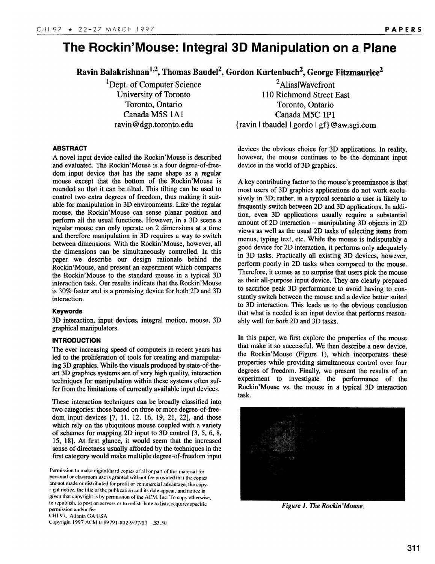# **The Rockin'Nlouse: Integral 3D Manipulation on a Plane**

**Ravin Balakrishnan132,Thomas Baude12,Gordon Kurtenbach2, George Fitzmaurice2**

<sup>1</sup>Dept. of Computer Science University of Toronto Toronto, Ontario Canada M5S lA1 ravin @dgp.toronto.edu

2AliaslWavefront 110 Richmond Street East Toronto, Ontario Canada M5C lP1 {ravin Itbaudel Igordo Igf }@aw.sgi.com

# **ABSTRACT**

A novel input device called the Rockin'Mouse is described and evaluated. The Rockin'Mouse is a four degree-of-freedom input device that has the same shape as a regular mouse except that the bottom of the Rockin'Mouse is rounded so that it can be tilted. This tilting can be used to control two extra degrees of freedom, thus making it suitable for manipulation in 3D environments. Like the regular mouse, the Rockin'Mouse can sense planar position and perform all the usual functions. However, in a 3D scene a regular mouse can only operate on 2 dimensions at a time and therefore manipulation in 3D requires a way to switch between dimensions. With the Rockin'Mouse, however, all the dimensions can be simultaneously controlled. In this paper we describe our design rationale behind the Rockin'Mouse, and present an experiment which compares the Rockin'Mouse to the standard mouse in a typical 3D interaction task. Our results indicate that the Rockin'Mouse is 30% faster and is a promising device for both 2D and 3D interaction.

# **Keywords**

**3D interaction, input** devices, integral motion, mouse, 3D graphical manipulators.

# **INTRODUCTION**

**The** ever increasing speed of computers in recent years has led to the proliferation of tools for creating and manipulating 3D graphics. While the visuals produced by state-of-theart 3D graphics systems are of very high quality, interaction techniques for manipulation within these systems often suffer from the limitations of **currently** available input devices.

These interaction techniques can be broadly classified into two categories: those based on three or more degree-of-freedom input devices [7, 11, 12, 16, 19, 21, 22], and those which rely on the ubiquitous mouse coupled with a variety of schemes for mapping 2D input to 3D control [3, 5, 6, 8, 15, 18]. At first glance, it would seem that the increased sense of directness usually afforded by the techniques in the first category would make multiple degree-of-freedom input devices the obvious choice for 3D applications. In reality, however, the mouse continues to be the dominant input device in the world of 3D graphics.

A key contributing factor to the mouse's preeminence is that most users of 3D graphics applications do not work exclusively in 3D; rather, in a typical scenario a user is likely to frequently switch between 2D and 3D applications. In addition, even 3D applications usually require a substantial amount of 2D interaction – manipulating 3D objects in 2D views as well as the usual 2D tasks of selecting items from menus, typing text, etc. While the mouse is indisputably a good device for 2D interaction, it performs only adequately in 3D tasks. Practically all existing 3D devices, however, perform poorly in 2D tasks when compared to the mouse. Therefore, it comes as no surprise that users pick the mouse as their all-purpose input device. They are clearly prepared to sacrifice peak 3D performance to avoid having to constantly switch between the mouse and a device better suited to 3D interaction. This leads us to the obvious conclusion that what is needed is an input device that performs reasonably well for both 2D and 3D tasks.

In this paper, we first explore the properties of the mouse that make it so successful. We then describe a new device, the Rockin'Mouse (Figure 1), which incorporates these properties while providing simultaneous control over four degrees of freedom. Finally, we present the results of an experiment to investigate the performance of the Rockin'Mouse vs. the mouse in a typical 3D interaction task.



*Figure 1. The Rockin 'Mouse,*

Permission to make digital/hard copies of all or part of this material for **personal or cl;wsroom use is granted wilhoul fee provided Ihal the copies**  $\alpha$  **are not made or distributed** for prolit or commercial advantage, the copyright **notice, tk title of"the publical ion and iLs dale appear, and notice is given that copyright is by permission of Ihe ACM, Inc. To copy other-wise, to republish. [o post on servers or 10 redistribute to lists, requires specilic permission and/or fee CHI 97, Atlanta GA USA copyright 1997 AL'hf 0-89791 -802-9/97/03 ,,\$'3.50**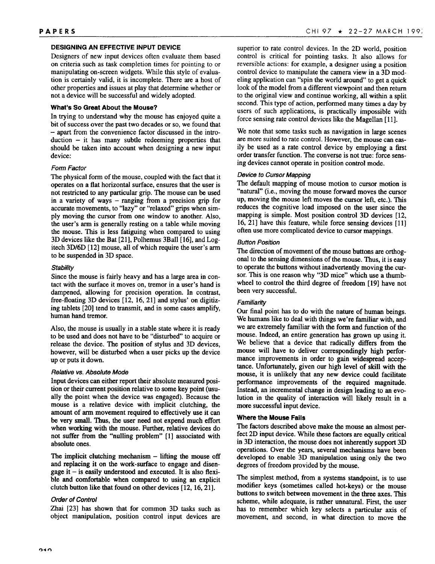# **DESIGNING AN EFFECTIVE INPUT DEVICE**

Designers of new input devices often evaluate them based on criteria such as task completion times for pointing to or manipulating on-screen widgets. While this style of evaluation is certainly valid, it is incomplete. There are a host of other properties and issues at play that determine whether or not a device will be successful and widely adopted.

# **What's So Great About the Mouse?**

In trying to understand why the mouse has enjoyed quite a bit of success over the past two decades or so, we found that - apart from the convenience factor discussed in the intro $duction - it$  has many subtle redeeming properties that should be taken into account when designing a new input device:

# **Form Factor**

**The** physical form of the mouse, coupled with the fact that it operates on a flat horizontal surface, ensures that the user is not restricted to any particular grip. The mouse can be used in a variety of ways – ranging from a precision grip for accurate movements, to "lazy" or "relaxed" grips when simply moving the cursor from one window to another. Also, the user's arm is generally resting on a table while moving the mouse. This is less fatiguing when compared to using 3D devices like the Bat [21], Polhemus 3Ball [16], and Logitech 3D/6D [12] mouse, all of which require the user's arm to be suspended in 3D space.

# **Stability**

Since the mouse is fairly heavy and has a large area in contact with the surface it moves on, tremor in a user's hand is dampened, allowing for precision operation. In contrast, free-floating 3D devices [12, 16, 21] and stylus' on digitizing tablets [20] tend to transmit, and in some cases amplify, human hand tremor.

Also, the mouse is usually in a stable state where it is ready to be used and does not have to be "disturbed" to acquire or release the device. The position of stylus and 3D devices, however, will be disturbed when a user picks up the device up or puts it down.

# **Relative vs. Absolute Mode**

Input devices can either report their absolute measured position or their current position relative to some key point (usually the point when the device was engaged). Because the mouse is a relative device with implicit clutching, the amount of arm movement required to effectively use it can be very small. Thus, the user need not expend much effort when working with the mouse. Further, relative devices do not suffer from the "nulling problem" [1] associated with absolute ones.

The implicit clutching mechanism  $-$  lifting the mouse off and replacing it on the work-surface to engage and disengage it  $-$  is easily understood and executed. It is also flexible and comfortable when compared to using an explicit clutch button like that found on other devices  $[12, 16, 21]$ .

# **Odar of Control**

Zhai [23] has shown that for common 3D tasks such as object manipulation, position control input devices are

superior to rate control devices. In the 2D world, position control is critical for pointing tasks. It also allows for reversible actions: for example, a designer using a position control device to manipulate the camera view in a 3D modeling application can "spin the world around" to get a quick look of the model from a different viewpoint and then return to the original view and continue working, all within a split second. This type of action, performed many times a day by users of such applications, is practically impossible with force sensing rate control devices like the Magellan [11].

We note that some tasks such as navigation in large scenes are more suited to rate control. However, the mouse can easily be used as a rate control device by employing a first order transfer function. The converse is not true: force sensing devices cannot operate in position control mode.

# **Device** to **Cursor Mapping**

**The** default mapping of mouse motion to cursor motion is "natural" (i.e., moving the mouse forward moves the cursor up, moving the mouse left moves the cursor left, etc.). This reduces the cognitive load imposed on the user since the mapping is simple. Most position control 3D devices [12, 16, 21] have this feature, while force sensing devices [11] often use more complicated device to cursor mappings.

# **Button Position**

**The direction** of movement of the mouse buttons are orthogonal to the sensing dimensions of the mouse. Thus, it is easy to operate the buttons without inadvertently moving the cursor. This is one reason why "3D mice" which use a thumbwheel to control the third degree of freedom [19] have not been very successful.

# **Familiarity**

**Our** final point has to do with the nature of human beings. We humans like to deal with things we're familiar with, and we are extremely familiar with the form and function of the mouse. Indeed, an entire generation has grawn up using it. We believe that a device that radically differs from the mouse will have to deliver correspondingly high performance improvements in order to gain widespread acceptance. Unfortunately, given our high level of skill with the mouse, it is unlikely that any new device could facilitate performance improvements of the required magnitude. Instead, an incremental change in design leading to an evolution in the quality of interaction will likely result in a more successful input device.

# **Where the Mouse Fails**

**The** factors described above make the mouse an almost perfect 2D input device. While these factors are equally critical in 3D interaction, the mouse does not inherently support 3D operations. Over the years, several mechanisms have been developed to enable 3D manipulation using only the two degrees of freedom provided by the mouse.

The simplest method, from a systems standpoint, is to use modifier keys (sometimes called hot-keys) or the mouse buttons to switch between movement in the three axes. This scheme, while adequate, is rather unnatural. First, the user has to remember which key selects a particular axis of movement, and second, in what direction to move the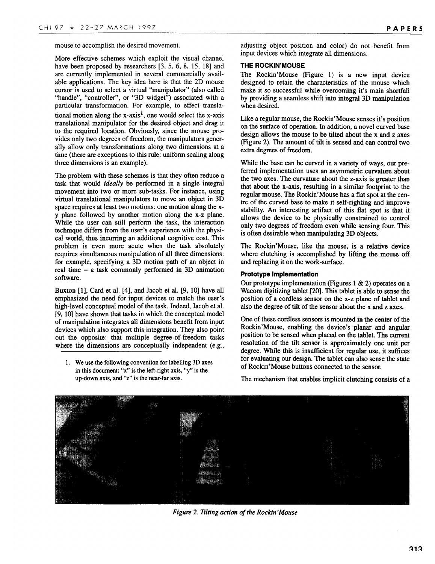mouse to accomplish the desired movement.

More effective schemes which exploit the visual channel have been proposed by researchers [3, 5, 6, 8, 15, 18] and are currently implemented in several commercially available applications. The key idea here is that the 2D mouse cursor is used to select a virtual "manipulator" (also called "handle", "controller", or "3D widget") associated with a particular transformation. For example, to effect translational motion along the  $x$ -axis<sup>1</sup>, one would select the  $x$ -axis translational manipulator for the desired object and drag it to the required location. Obviously, since the mouse provides only two degrees of freedom, the manipulators generally allow only transformations along two dimensions at a time (there are exceptions to this rule: uniform scaling along three dimensions is an example).

The problem with these schemes is that they often reduce a task that would ideally be performed in a single integral movement into two or more sub-tasks. For instance, using virtual translational manipulators to move an object in 3D space requires at least two motions: one motion along the xy plane followed by another motion along the x-z plane. While the user can still perform the task, the interaction technique differs from the user's experience with the physical world, thus incurring an additional cognitive cost. This problem is even more acute when the task absolutely requires simultaneous manipulation of all three dimensions: for example, specifying a 3D motion path of an object in real time – a task commonly performed in 3D animation software.

Buxton [1], Card et al. [4], and Jacob et al. [9, 10] have all emphasized the need for input devices to match the user's high-level conceptual model of the task. Indeed, Jacob et al. [9, 10] have shown that tasks in which the conceptual model of manipulation integrates all dimensions benefit from input devices which also support this integration. They also point out the opposite: that multiple degree-of-freedom tasks where the dimensions are conceptually independent (e.g.,

1, We use the following convention for labelling 3D axes in this document: "x" is the left-right axis, "y" is the up-down axis, and "z" is the near-far axis.

adjusting object position and color) do not benefit from input devices which integrate all dimensions.

#### **THE ROCKIN'MOUSE**

**The** Rockin'Mouse (Figure 1) is a new input device designed to retain the characteristics of the mouse which make it so successful while overcoming it's main shortfall by providing a seamless shift into integral 3D manipulation when desired.

Like a regular mouse, the Rockin'Mouse senses it's position on the surface of operation. In addition, a novel curved base design allows the mouse to be tilted about the x and z axes (Figure 2). The amount of tilt is sensed and can control two extra degrees of freedom.

While the base can be curved in a variety of ways, our preferred implementation uses an asymmetric curvature about the two axes. The curvature about the z-axis is greater than that about the x-axis, resulting in a similar footprint to the regular mouse. The Rockin'Mouse has a flat spot at the centre of the curved base to make it self-righting and improve stability. An interesting artifact of this flat spot is that it allows the device to be physically constrained to control only two degrees of freedom even while sensing four. This is often desirable when manipulating 3D objects.

The Rockin'Mouse, like the mouse, is a relative device where clutching is accomplished by lifting the mouse off and replacing it on the work-surface.

#### **Prototype Implementation**

Our prototype implementation (Figures 1  $\&$  2) operates on a Wacom digitizing tablet [20]. This tablet is able to sense the position of a cordless sensor on the x-z plane of tablet and also the degree of tilt of the sensor about the x and z axes.

One of these cordless sensors is mounted in the center of the Rockin'Mouse, enabling the device's planar and angular position to be sensed when placed on the tablet. The current resolution of the tilt sensor is approximately one unit per degree. While this is insufficient for regular use, it suffices for evaluating our design. The tablet can also sense the state of Rcckin'Mouse buttons connected to the sensor.

The mechanism that enables implicit clutching consists of a



*Figure 2. lilting uction of the Rockin 'Mouse*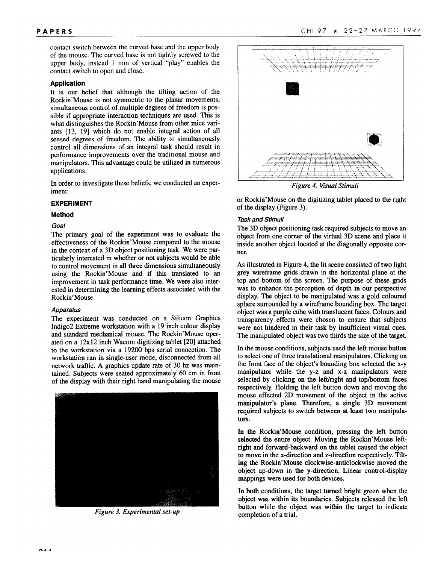contact switch between the curved base and the upper body of the mouse. The curved base is not tightly screwed to the upper body, instead 1 mm of vertical "play" enables the contact switch to open and close.

#### **Application**

It is our belief that although the tilting action of the Rockin'Mouse is not symmetric to the planar movements, simultaneous control of multiple degrees of freedom is possible if appropriate interaction techniques are used. This is what distinguishes the Rockin'Mouse from other mice variants [13, 19] which do not enable integral action of all sensed degrees of freedom. The ability to simultaneously control all dimensions of an integral task should result in performance improvements over the traditional mouse and manipulators. This advantage could be utilized in numerous applications.

In order to investigate these beliefs, we conducted an experiment

# **EXPERIMENT**

# **Method**

#### **Goal**

**The** primary goal of the experiment was to evaluate the effectiveness of the Rockin'Mouse compared to the mouse in the context of a 3D object positioning task. We were particularly interested in whether or not subjects would be able to control movement in all three dimensions simultaneously using the Rockin' Mouse and if this translated to an improvement in task performance time. We were also interested in determining the learning effects associated with the Rockin'Mouse.

#### **Apparatus**

**The** experiment was conducted on a Silicon Graphics Indigo2 Extreme workstation with a 19 inch colour display and standard mechanical mouse. The Rockin'Mouse operated on a 12x 12 inch Wacom digitizing tablet [20] attached to the workstation via a 19200 bps serial connection. The workstation ran in single-user mode, disconnected from all network traffic. A graphics update rate of 30 hz was maintained. Subjects were seated approximately 60 cm in front of the display with their right hand manipulating the mouse



**Figure 3. Experimental set-up**



*Figure 4. Wad Stimuli*

or Rockin'Mouse on the digitizing tablet placed to the right of the display (Figure 3).

# **Task and Stimuli**

**The 3D** object positioning task required subjects to move an object from one comer of the virtual 3D scene and place it inside another object located at the diagonally opposite corner.

As illustrated in Figure 4, the lit scene consisted of two light grey wireframe grids drawn in the horizontal plane at the top and bottom of the screen. The purpose of these grids was to enhance the perception of depth in our perspective display. The object to be manipulated was a gold coloured sphere surrounded by a wireframe bounding box. The target object was a purple cube with translucent faces. Colours and transparency effects were chosen to ensure that subjects were not hindered in their task by insufficient visual cues. The manipulated object was two thirds the size of the target,

In the mouse conditions, subjects used the left mouse button to select one of three translational manipulators. Clicking on the front face of the object's bounding box selected the x-y manipulator while the y-z and x-z manipulators were selected by clicking on the left/right and top/bottom faces respectively. Holding the left button down and moving the mouse effected 2D movement of the object in the active manipulator's plane. Therefore, a single 3D movement required subjects to switch between at least two manipulators.

In the Rockin'Mouse condition, pressing the left button selected the entire object. Moving the Rockin'Mouse leftright and forward-backward on the tablet caused the object to move in the x-direction and z-direction respectively. Tilting the Rockin'Mouse clockwise-anticlockwise moved the object up-down in the y-direction. Linear control-display mappings were used for both devices.

In both conditions, the target turned bright green when the object was within its boundaries. Subjects released the left button while the object was within the target to indicate completion of a trial.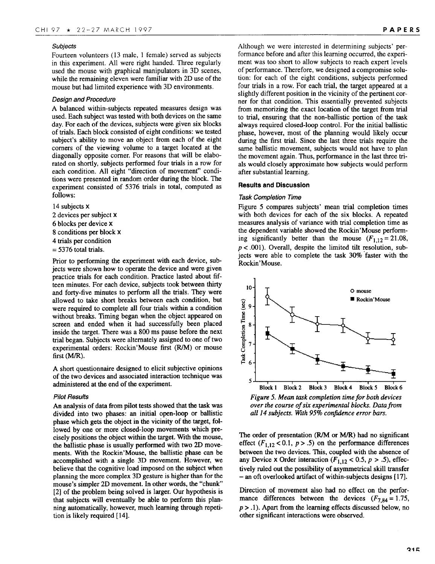#### **Subjects**

Fourteen volunteers (13 male, 1 female) served as subjects in this experiment. All were right handed. Three regularly used the mouse with graphical manipulators in 3D scenes, while the remaining eleven were familiar with 2D use of the mouse but had limited experience with 3D environments.

#### **Design and Procedure**

A balanced within-subjects repeated measures design was used. Each subject was tested with both devices on the same day. For each of the devices, subjects were given six blocks of trials. Each block consisted of eight conditions: we tested subjeet's ability to move an object from each of the eight corners of the viewing volume to a target located at the diagonally opposite corner. For reasons that will be elaborated on shortly, subjects performed four trials in a row for each condition. All eight "direction of movement" conditions were presented in random order during the block. The experiment consisted of 5376 trials in total, computed as follows:

14 subjects **x**  devices per subject x blocks per device x conditions per block x trials per condition  $= 5376$  total trials.

Prior to performing the experiment with each device, subjects were shown how to operate the device and were given practice trials for each condition. Practice lasted about fifteen minutes. For each device, subjects took between thirty and forty-five minutes to perform all the trials. They were allowed to take short breaks between each condition, but were required to complete all four trials within a condition without breaks. Timing began when the object appeared on screen and ended when it had successfully been placed inside the target. There was a 800 ms pause before the next trial began. Subjeets were alternately assigned to one of two experimental orders: Rockin'Mouse first (R/M) or mouse first (M/R).

A short questionnaire designed to elicit subjective opinions of the two devices and associated interaction technique was administered at the end of the experiment.

#### **Pilot Results**

An analysis of data from pilot tests showed that the task was divided into two phases: an initial open-loop or ballistic phase which gets the object in the vicinity of the target, followed by one or more closed-loop movements which precisely positions the object within the target. With the mouse, the ballistic phase is usually performed with two 2D movements. With the Roekin'Mouse, the ballistic phase can be accomplished with a single 3D movement. However, we believe that the cognitive load imposed on the subjeet when planning the more complex 3D gesture is higher than for the mouse's simpler 2D movement. In other words, the "chunk" [2] of the problem being solved is larger. Our hypothesis is that subjects will eventually be able to perform this planning automatically, however, much learning through repetition is likely required [14].

Although we were interested in determining subjects' performance before and after this learning occurred, the experiment was too short to allow subjects to reach expert levels of performance. Therefore, we designed a compromise solution: for each of the eight conditions, subjects performed four trials in a row. For each trial, the target appeared at a slightly different position in the vicinity of the pertinent corner for that condition. This essentially prevented subjects from memorizing the exact location of the target from trial to trial, ensuring that the non-ballistic portion of the task always required closed-loop control. For the initial ballistic phase, however, most of the planning would likely occur during the first trial, Since the last three trials require the same ballistic movement, subjects would not have to plan the movement again. Thus, performance in the last three trials would closely approximate how subjects would perform after substantial learning.

#### **Results and Discussion**

#### **Task Completion Time**

Figure 5 compares subjects' mean trial completion times with both devices for each of the six blocks. A repeated measures analysis of variance with trial completion time as the dependent variable showed the Roekin'Mouse performing significantly better than the mouse  $(F_{1,12}=21.08,$  $p < .001$ ). Overall, despite the limited tilt resolution, subjects were able to complete the task 30% faster with the Roekin'Mouse.



*Figure 5. Mean task completion time for both devices over* the course of six experimental blocks. Data from *all 14 subjects. With 95% confidence error bars.*

The order of presentation (R/M or M/R) had no significant effect  $(F_{1,12} < 0.1, p > .5)$  on the performance differences between the two devices. This, coupled with the absence of any Device x Order interaction ( $F_{1,12}$  < 0.5,  $p > .5$ ), effectively ruled out the possibility of asymmetrical skill transfer – an oft overlooked artifact of within-subjects designs [17].

Direction of movement also had no effect on the performance differences between the devices  $(F_{7,84} = 1.75,$ *p >* .1). Apart from the learning effeets discussed below, no other significant interactions were observed.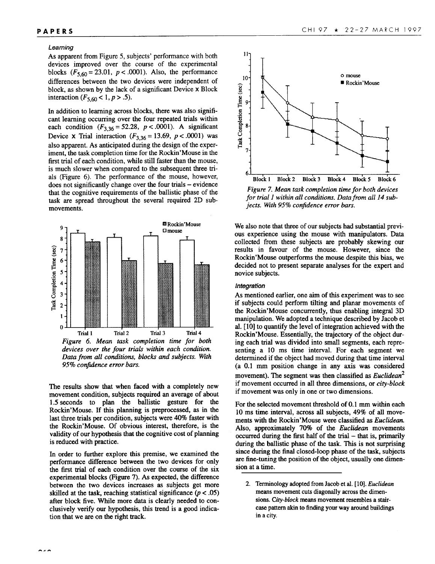#### **Learning**

As apparent from Figure 5, subjects' performance with both devices improved over the course of the experimental blocks  $(F_{5,60} = 23.01, p < .0001)$ . Also, the performance differences between the two devices were independent of block, as shown by the lack of a significant Device x Block interaction  $(F_{5,60} < 1, p > .5)$ .

In addition to learning across blocks, there was also significant learning occurring over the four repeated trials within each condition  $(F_{3,36} = 52.28, p < .0001)$ . A significant Device x Trial interaction ( $F_{3,36} = 13.69$ ,  $p < .0001$ ) was also apparent. As anticipated during the design of the experiment, the task completion time for the Rockin'Mouse in the first trial of each condition, while still faster than the mouse, is much slower when compared to the subsequent three trials (Figure 6). The performance of the mouse, however, does not significantly change over the four trials – evidence that the cognitive requirements of the ballistic phase of the task are spread throughout the several required 2D submovements.



*devices over the* **four triah within each condition. Data from all conditions,** *blocks and subjects. With 95?40confidence error bars.*

The results show that when faced with a completely new movement condition, subjects required an average of about 1.5 seconds to plan the ballistic gesture for the Rockin'Mouse. If this planning is preprocessed, as in the last three trials per condition, subjects were 40% faster with the Rockin'Mouse. Of obvious interest, therefore, is the validity of our hypothesis that the cognitive cost of planning is reduced with practice.

In order to further explore this premise, we examined the performance difference between the two devices for only the first trial of each condition over the course of the six experimental blocks (Figure 7). As expected, the difference between the two devices increases as subjects get more skilled at the task, reaching statistical significance  $(p < .05)$ after block five. While more data is clearly needed to conclusively verify our hypothesis, this trend is a good indication that we are on the right track.



*Figure 7. Mean task completion time for both devices for trial 1 within all conditions. Data@m ail 14 subjects. Wth 9570confidence error bars.*

We also note that three of our subjects had substantial previous experience using the mouse with manipulators. Data collected from these subjects are probably skewing our results in favour of the mouse. However, since the Rockin'Mouse outperforms the mouse despite this bias, we decided not to present separate analyses for the expert and novice subjects.

#### **Integration**

As mentioned earlier, one aim of this experiment was to see if subjects could perform tilting and planar movements of the Rockin'Mouse concurrently, thus enabling integral 3D manipulation. We adopted a technique described by Jacob et al. [10] to **quantify the** level of integration achieved with the Rockin'Mouse. Essentially, the trajectory of the object during each trial was divided into small segments, each representing a 10 ms time interval. For each segment we determined if the object had moved during that time interval (a 0.1 mm position change in any axis was considered movement). The segment was then classified as *Euclidean2* if movement occurred in all three dimensions, or city-block if movement was only in one or two dimensions.

For the selected movement threshold of 0.1 mm within each 10 ms time interval, across all subjects, 49% of all movements with the Rockin'Mouse were classified as **Euclidean. Also,** approximately 70% of the *Euclidean* movements occurred during the first half of the trial - that is, primarily during the ballistic phase of the task. This is not surprising since during the final closed-loop phase of the task, subjects are fine-tuning the position of the object, usually one dimension at a time.

<sup>2.</sup> Terminology adopted from Jacob et al. [10]. *Euclidean* means movement cuts diagonally across the dimensions. City-block means movement resembles a staircase pattern akin to finding your way around buildings in a city.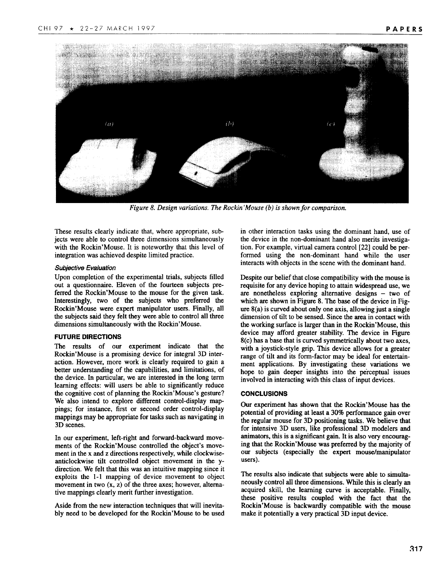

Figure 8. Design variations. The Rockin' Mouse (b) is shown for comparison.

These results clearly indicate that, where appropriate, subjects were able to control three dimensions simultaneously with the Rockin'Mouse. It is noteworthy that this level of integration was achieved despite limited practice.

#### **Subjective Evaluation**

Upon completion of the experimental trials, subjects filled out a questionnaire. Eleven of the fourteen subjects preferred the Rockin'Mouse to the mouse for the given task. Interestingly, two of the subjects who preferred the Rockin'Mouse were expert manipulator users. Finally, all the subjects said they felt they were able to control all three dimensions simultaneously with the Rockin'Mouse.

# **FUTURE DIRECTIONS**

**The** results of our experiment indicate that the Rockin'Mouse is a promising device for integral 3D interaction. However, more work is clearly required to gain a better understanding of the capabilities, and limitations, of the device. In particular, we are interested in the long term learning effects: will users be able to significantly reduce the cognitive cost of planning the Rockin'Mouse's gesture? We also intend to explore different control-display mappings; for instance, first or second order control-display mappings may be appropriate for tasks such as navigating in 3D scenes.

In our experiment, left-right and forward-backward movements of the Rockin'Mouse controlled the object's movement in the x and z directions respectively, while clockwiseanticlockwise tilt controlled object movement in the ydirection. We felt that this was an intuitive mapping since it exploits the 1-1 mapping of device movement to object movement in two  $(x, z)$  of the three axes; however, alternative mappings clearly merit further investigation.

Aside from the new interaction techniques that will inevitably need to be developed for the Rockin'Mouse to be used in other interaction tasks using the dominant hand, use of the device in the non-dominant hand also merits investigation. For example, virtual camera control [22] could be performed using the non-dominant hand while the user interacts with objects in the scene with the dominant hand.

Despite our belief that close compatibility with the mouse is requisite for any device hoping to attain widespread use, we are nonetheless exploring alternative designs – two of which are shown in Figure 8. The base of the device in Figure 8(a) is curved about only one axis, allowing just a single dimension of tilt to be sensed. Since the area in contact with the working surface is larger than in the Rockin'Mouse, this device may afford greater stability. The device in Figure 8(c) has a base that is curved symmetrically about two axes, with a joystick-style grip. This device allows for a greater range of tilt and its form-factor may be ideal for entertainment applications. By investigating these variations we hope to gain deeper insights into the perceptual issues involved in interacting with this class of input devices.

#### **CONCLUSIONS**

Our experiment has shown that the Rockin'Mouse has the potential of providing at least a 30% performance gain over the regular mouse for 3D positioning tasks. We believe that for intensive 3D users, like professional 3D modelers and animators, this is a significant gain. It is also very encouraging that the Rockin'Mouse was preferred by the majority of our subjects (especially the expert mouse/manipulator users).

The results also indicate that subjects were able to simultaneously control all three dimensions. While this is clearly an acquired skill, the learning curve is acceptable. Finally, these positive results coupled with the fact that the Rockin'Mouse is backwardly compatible with the mouse make it potentially a very practical 3D input device.